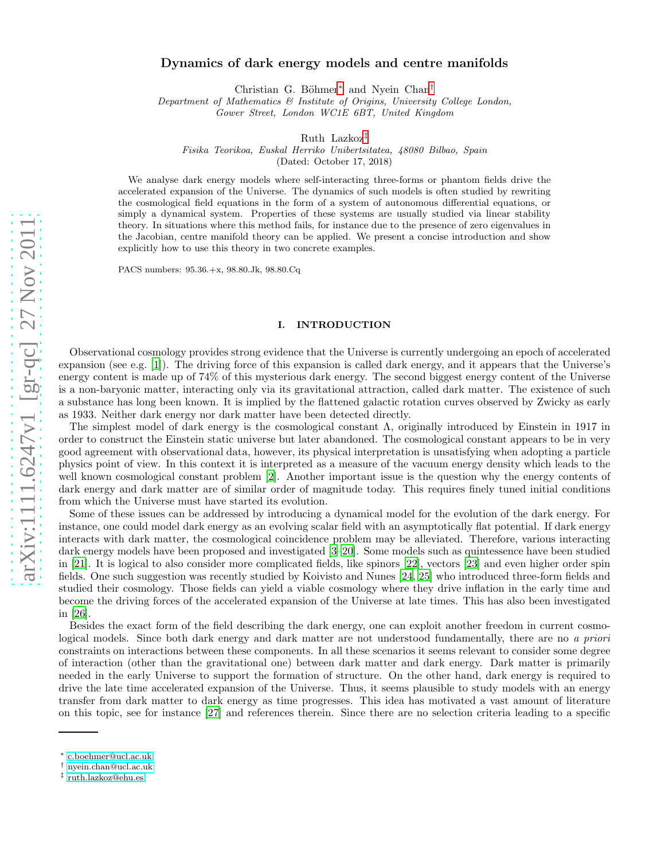# Dynamics of dark energy models and centre manifolds

Christian G. Böhmer<sup>[∗](#page-0-0)</sup> and Nyein Chan<sup>[†](#page-0-1)</sup>

Department of Mathematics & Institute of Origins, University College London, Gower Street, London WC1E 6BT, United Kingdom

Ruth Lazkoz[‡](#page-0-2)

Fisika Teorikoa, Euskal Herriko Unibertsitatea, 48080 Bilbao, Spain

(Dated: October 17, 2018)

We analyse dark energy models where self-interacting three-forms or phantom fields drive the accelerated expansion of the Universe. The dynamics of such models is often studied by rewriting the cosmological field equations in the form of a system of autonomous differential equations, or simply a dynamical system. Properties of these systems are usually studied via linear stability theory. In situations where this method fails, for instance due to the presence of zero eigenvalues in the Jacobian, centre manifold theory can be applied. We present a concise introduction and show explicitly how to use this theory in two concrete examples.

PACS numbers: 95.36.+x, 98.80.Jk, 98.80.Cq

### I. INTRODUCTION

Observational cosmology provides strong evidence that the Universe is currently undergoing an epoch of accelerated expansion (see e.g. [\[1\]](#page-8-0)). The driving force of this expansion is called dark energy, and it appears that the Universe's energy content is made up of 74% of this mysterious dark energy. The second biggest energy content of the Universe is a non-baryonic matter, interacting only via its gravitational attraction, called dark matter. The existence of such a substance has long been known. It is implied by the flattened galactic rotation curves observed by Zwicky as early as 1933. Neither dark energy nor dark matter have been detected directly.

The simplest model of dark energy is the cosmological constant Λ, originally introduced by Einstein in 1917 in order to construct the Einstein static universe but later abandoned. The cosmological constant appears to be in very good agreement with observational data, however, its physical interpretation is unsatisfying when adopting a particle physics point of view. In this context it is interpreted as a measure of the vacuum energy density which leads to the well known cosmological constant problem [\[2](#page-8-1)]. Another important issue is the question why the energy contents of dark energy and dark matter are of similar order of magnitude today. This requires finely tuned initial conditions from which the Universe must have started its evolution.

Some of these issues can be addressed by introducing a dynamical model for the evolution of the dark energy. For instance, one could model dark energy as an evolving scalar field with an asymptotically flat potential. If dark energy interacts with dark matter, the cosmological coincidence problem may be alleviated. Therefore, various interacting dark energy models have been proposed and investigated [\[3](#page-8-2)[–20](#page-9-0)]. Some models such as quintessence have been studied in [\[21](#page-9-1)]. It is logical to also consider more complicated fields, like spinors [\[22](#page-9-2)], vectors [\[23\]](#page-9-3) and even higher order spin fields. One such suggestion was recently studied by Koivisto and Nunes [\[24](#page-9-4), [25\]](#page-9-5) who introduced three-form fields and studied their cosmology. Those fields can yield a viable cosmology where they drive inflation in the early time and become the driving forces of the accelerated expansion of the Universe at late times. This has also been investigated in [\[26](#page-9-6)].

Besides the exact form of the field describing the dark energy, one can exploit another freedom in current cosmological models. Since both dark energy and dark matter are not understood fundamentally, there are no a priori constraints on interactions between these components. In all these scenarios it seems relevant to consider some degree of interaction (other than the gravitational one) between dark matter and dark energy. Dark matter is primarily needed in the early Universe to support the formation of structure. On the other hand, dark energy is required to drive the late time accelerated expansion of the Universe. Thus, it seems plausible to study models with an energy transfer from dark matter to dark energy as time progresses. This idea has motivated a vast amount of literature on this topic, see for instance [\[27\]](#page-9-7) and references therein. Since there are no selection criteria leading to a specific

<span id="page-0-0"></span><sup>∗</sup> [c.boehmer@ucl.ac.uk](mailto:c.boehmer@ucl.ac.uk)

<span id="page-0-1"></span><sup>†</sup> [nyein.chan@ucl.ac.uk](mailto:nyein.chan@ucl.ac.uk)

<span id="page-0-2"></span><sup>‡</sup> [ruth.lazkoz@ehu.es](mailto:ruth.lazkoz@ehu.es)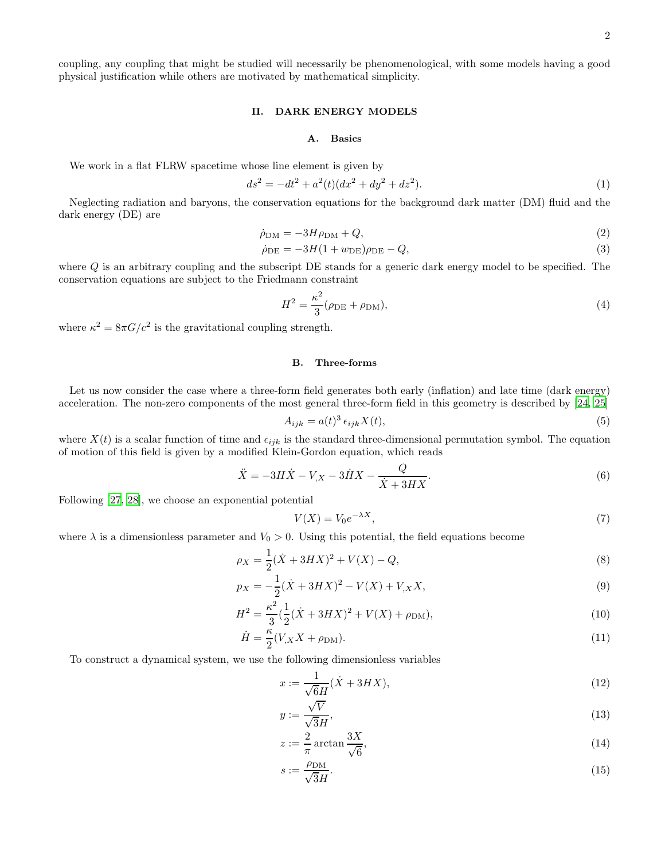coupling, any coupling that might be studied will necessarily be phenomenological, with some models having a good physical justification while others are motivated by mathematical simplicity.

#### II. DARK ENERGY MODELS

## <span id="page-1-1"></span><span id="page-1-0"></span>A. Basics

We work in a flat FLRW spacetime whose line element is given by

$$
ds^{2} = -dt^{2} + a^{2}(t)(dx^{2} + dy^{2} + dz^{2}).
$$
\n(1)

Neglecting radiation and baryons, the conservation equations for the background dark matter (DM) fluid and the dark energy (DE) are

$$
\dot{\rho}_{\rm DM} = -3H\rho_{\rm DM} + Q,\tag{2}
$$

$$
\dot{\rho}_{\rm DE} = -3H(1+w_{\rm DE})\rho_{\rm DE} - Q,\tag{3}
$$

where  $Q$  is an arbitrary coupling and the subscript DE stands for a generic dark energy model to be specified. The conservation equations are subject to the Friedmann constraint

$$
H^2 = \frac{\kappa^2}{3} (\rho_{\rm DE} + \rho_{\rm DM}),\tag{4}
$$

where  $\kappa^2 = 8\pi G/c^2$  is the gravitational coupling strength.

### <span id="page-1-2"></span>B. Three-forms

Let us now consider the case where a three-form field generates both early (inflation) and late time (dark energy) acceleration. The non-zero components of the most general three-form field in this geometry is described by [\[24,](#page-9-4) [25\]](#page-9-5)

$$
A_{ijk} = a(t)^3 \epsilon_{ijk} X(t), \tag{5}
$$

where  $X(t)$  is a scalar function of time and  $\epsilon_{ijk}$  is the standard three-dimensional permutation symbol. The equation of motion of this field is given by a modified Klein-Gordon equation, which reads

$$
\ddot{X} = -3H\dot{X} - V_{,X} - 3\dot{H}X - \frac{Q}{\dot{X} + 3HX}.
$$
\n
$$
(6)
$$

Following [\[27](#page-9-7), [28\]](#page-9-8), we choose an exponential potential

$$
V(X) = V_0 e^{-\lambda X},\tag{7}
$$

where  $\lambda$  is a dimensionless parameter and  $V_0 > 0$ . Using this potential, the field equations become

$$
\rho_X = \frac{1}{2}(\dot{X} + 3HX)^2 + V(X) - Q,\tag{8}
$$

$$
p_X = -\frac{1}{2}(\dot{X} + 3HX)^2 - V(X) + V_{,X}X,\tag{9}
$$

$$
H^{2} = \frac{\kappa^{2}}{3} \left( \frac{1}{2} (\dot{X} + 3HX)^{2} + V(X) + \rho_{\rm DM} \right),\tag{10}
$$

$$
\dot{H} = \frac{\kappa}{2} (V_{,X} X + \rho_{\rm DM}). \tag{11}
$$

To construct a dynamical system, we use the following dimensionless variables

<span id="page-1-3"></span>
$$
x := \frac{1}{\sqrt{6}H}(\dot{X} + 3HX),
$$
\n(12)

$$
y := \frac{\sqrt{V}}{\sqrt{3}H},\tag{13}
$$

$$
z := \frac{2}{\pi} \arctan \frac{3X}{\sqrt{6}},\tag{14}
$$

<span id="page-1-4"></span>
$$
s := \frac{\rho_{\rm DM}}{\sqrt{3}H}.\tag{15}
$$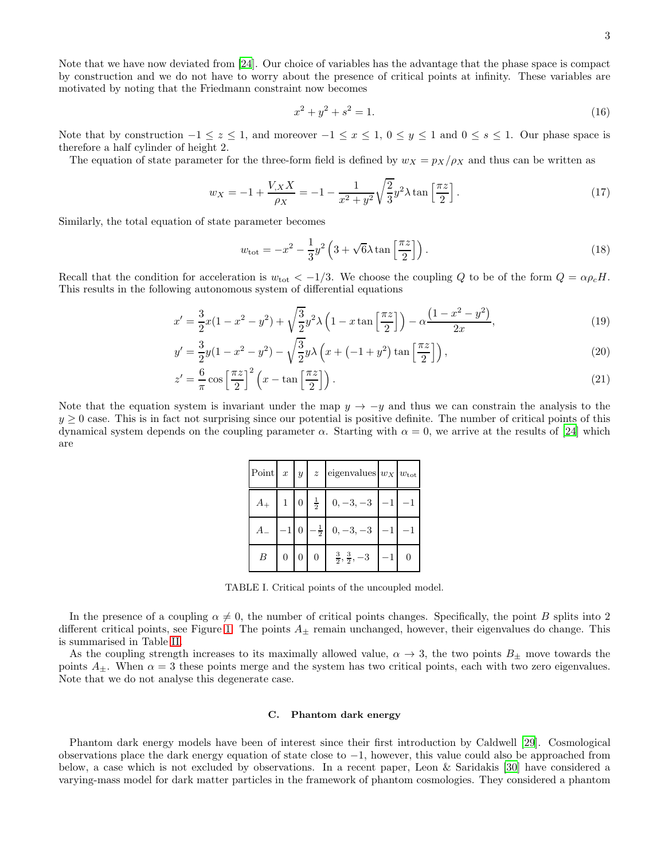Note that we have now deviated from [\[24](#page-9-4)]. Our choice of variables has the advantage that the phase space is compact by construction and we do not have to worry about the presence of critical points at infinity. These variables are motivated by noting that the Friedmann constraint now becomes

$$
x^2 + y^2 + s^2 = 1.\tag{16}
$$

Note that by construction  $-1 \le z \le 1$ , and moreover  $-1 \le x \le 1$ ,  $0 \le y \le 1$  and  $0 \le s \le 1$ . Our phase space is therefore a half cylinder of height 2.

The equation of state parameter for the three-form field is defined by  $w_X = p_X/\rho_X$  and thus can be written as

$$
w_X = -1 + \frac{V_{,X}X}{\rho_X} = -1 - \frac{1}{x^2 + y^2} \sqrt{\frac{2}{3}} y^2 \lambda \tan\left[\frac{\pi z}{2}\right].
$$
 (17)

Similarly, the total equation of state parameter becomes

<span id="page-2-0"></span>
$$
w_{\text{tot}} = -x^2 - \frac{1}{3}y^2 \left(3 + \sqrt{6\lambda} \tan\left[\frac{\pi z}{2}\right]\right). \tag{18}
$$

Recall that the condition for acceleration is  $w_{\text{tot}} < -1/3$ . We choose the coupling Q to be of the form  $Q = \alpha \rho_c H$ . This results in the following autonomous system of differential equations

$$
x' = \frac{3}{2}x(1 - x^2 - y^2) + \sqrt{\frac{3}{2}}y^2\lambda\left(1 - x\tan\left[\frac{\pi z}{2}\right]\right) - \alpha\frac{\left(1 - x^2 - y^2\right)}{2x},\tag{19}
$$

$$
y' = \frac{3}{2}y(1 - x^2 - y^2) - \sqrt{\frac{3}{2}}y\lambda\left(x + (-1 + y^2)\tan\left(\frac{\pi z}{2}\right)\right),\tag{20}
$$

$$
z' = \frac{6}{\pi} \cos\left[\frac{\pi z}{2}\right]^2 \left(x - \tan\left[\frac{\pi z}{2}\right]\right). \tag{21}
$$

Note that the equation system is invariant under the map  $y \to -y$  and thus we can constrain the analysis to the  $y \geq 0$  case. This is in fact not surprising since our potential is positive definite. The number of critical points of this dynamical system depends on the coupling parameter  $\alpha$ . Starting with  $\alpha = 0$ , we arrive at the results of [\[24\]](#page-9-4) which are

<span id="page-2-1"></span>

|  |  | Point $x   y   z$ eigenvalues $w_x   w_{\text{tot}}$                                |  |
|--|--|-------------------------------------------------------------------------------------|--|
|  |  | $A_+$ 1 0 $\frac{1}{2}$ 0, -3, -3 -1 -1                                             |  |
|  |  | $A = \begin{bmatrix} -1 & 0 & -\frac{1}{2} & 0 & -3 & -3 & -1 \end{bmatrix}$ -1     |  |
|  |  | $B \begin{bmatrix} 0 & 0 & 0 & \frac{3}{2}, \frac{3}{2}, -3 & -1 & 0 \end{bmatrix}$ |  |

TABLE I. Critical points of the uncoupled model.

In the presence of a coupling  $\alpha \neq 0$ , the number of critical points changes. Specifically, the point B splits into 2 different critical points, see Figure [1.](#page-7-0) The points  $A_{\pm}$  remain unchanged, however, their eigenvalues do change. This is summarised in Table [II.](#page-3-0)

As the coupling strength increases to its maximally allowed value,  $\alpha \to 3$ , the two points  $B_{\pm}$  move towards the points  $A_{\pm}$ . When  $\alpha = 3$  these points merge and the system has two critical points, each with two zero eigenvalues. Note that we do not analyse this degenerate case.

### C. Phantom dark energy

Phantom dark energy models have been of interest since their first introduction by Caldwell [\[29\]](#page-9-9). Cosmological observations place the dark energy equation of state close to −1, however, this value could also be approached from below, a case which is not excluded by observations. In a recent paper, Leon & Saridakis [\[30\]](#page-9-10) have considered a varying-mass model for dark matter particles in the framework of phantom cosmologies. They considered a phantom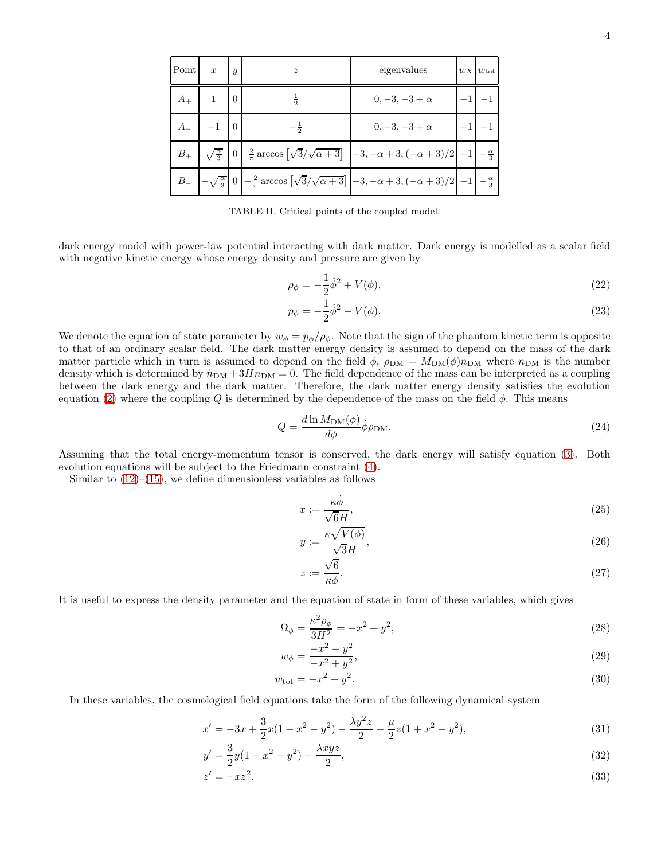| Point   | $\boldsymbol{x}$                 | $\boldsymbol{y}$ | $\boldsymbol{z}$                                                                                                                                                                         | eigenvalues          | $w_X$ $w_{\text{tot}}$ |
|---------|----------------------------------|------------------|------------------------------------------------------------------------------------------------------------------------------------------------------------------------------------------|----------------------|------------------------|
| $A_{+}$ |                                  |                  | $\bar{5}$                                                                                                                                                                                | $0, -3, -3 + \alpha$ |                        |
|         | $A_{-}$ $-1$ 0<br>$-\frac{1}{2}$ |                  |                                                                                                                                                                                          | $0, -3, -3 + \alpha$ |                        |
|         | $B_+$ $\sqrt{\frac{\alpha}{3}}$  |                  | $\left  0 \right  \frac{2}{\pi} \arccos \left[ \sqrt{3}/\sqrt{\alpha + 3} \right] \left  -3, -\alpha + 3, (-\alpha + 3)/2 \right  - 1 \left  -\frac{\alpha}{3} \right $                  |                      |                        |
|         |                                  |                  | $B = \left[-\sqrt{\frac{\alpha}{3}}\right]0\left[-\frac{2}{\pi}\arccos\left[\sqrt{3}/\sqrt{\alpha+3}\right]\right] - 3, -\alpha+3, (-\alpha+3)/2\right]-1\left[-\frac{\alpha}{3}\right]$ |                      |                        |

<span id="page-3-0"></span>TABLE II. Critical points of the coupled model.

dark energy model with power-law potential interacting with dark matter. Dark energy is modelled as a scalar field with negative kinetic energy whose energy density and pressure are given by

$$
\rho_{\phi} = -\frac{1}{2}\dot{\phi}^2 + V(\phi),\tag{22}
$$

$$
p_{\phi} = -\frac{1}{2}\dot{\phi}^2 - V(\phi). \tag{23}
$$

We denote the equation of state parameter by  $w_{\phi} = p_{\phi}/\rho_{\phi}$ . Note that the sign of the phantom kinetic term is opposite to that of an ordinary scalar field. The dark matter energy density is assumed to depend on the mass of the dark matter particle which in turn is assumed to depend on the field  $\phi$ ,  $\rho_{DM} = M_{DM}(\phi)n_{DM}$  where  $n_{DM}$  is the number density which is determined by  $\dot{n}_{DM} + 3Hn_{DM} = 0$ . The field dependence of the mass can be interpreted as a coupling between the dark energy and the dark matter. Therefore, the dark matter energy density satisfies the evolution equation [\(2\)](#page-1-0) where the coupling Q is determined by the dependence of the mass on the field  $\phi$ . This means

$$
Q = \frac{d \ln M_{\rm DM}(\phi)}{d\phi} \dot{\phi} \rho_{\rm DM}.
$$

Assuming that the total energy-momentum tensor is conserved, the dark energy will satisfy equation [\(3\)](#page-1-1). Both evolution equations will be subject to the Friedmann constraint [\(4\)](#page-1-2).

Similar to  $(12)$ – $(15)$ , we define dimensionless variables as follows

$$
x := \frac{\kappa \dot{\phi}}{\sqrt{6}H},\tag{25}
$$

$$
y := \frac{\kappa \sqrt{V(\phi)}}{\sqrt{3}H},\tag{26}
$$

$$
z := \frac{\sqrt{6}}{\kappa \phi}.\tag{27}
$$

It is useful to express the density parameter and the equation of state in form of these variables, which gives

$$
\Omega_{\phi} = \frac{\kappa^2 \rho_{\phi}}{3H^2} = -x^2 + y^2,
$$
\n(28)

$$
w_{\phi} = \frac{-x^2 - y^2}{-x^2 + y^2},\tag{29}
$$

$$
w_{\text{tot}} = -x^2 - y^2. \tag{30}
$$

In these variables, the cosmological field equations take the form of the following dynamical system

$$
x' = -3x + \frac{3}{2}x(1 - x^2 - y^2) - \frac{\lambda y^2 z}{2} - \frac{\mu}{2}z(1 + x^2 - y^2),\tag{31}
$$

$$
y' = \frac{3}{2}y(1 - x^2 - y^2) - \frac{\lambda xyz}{2},
$$
\n(32)

$$
z' = -xz^2.\tag{33}
$$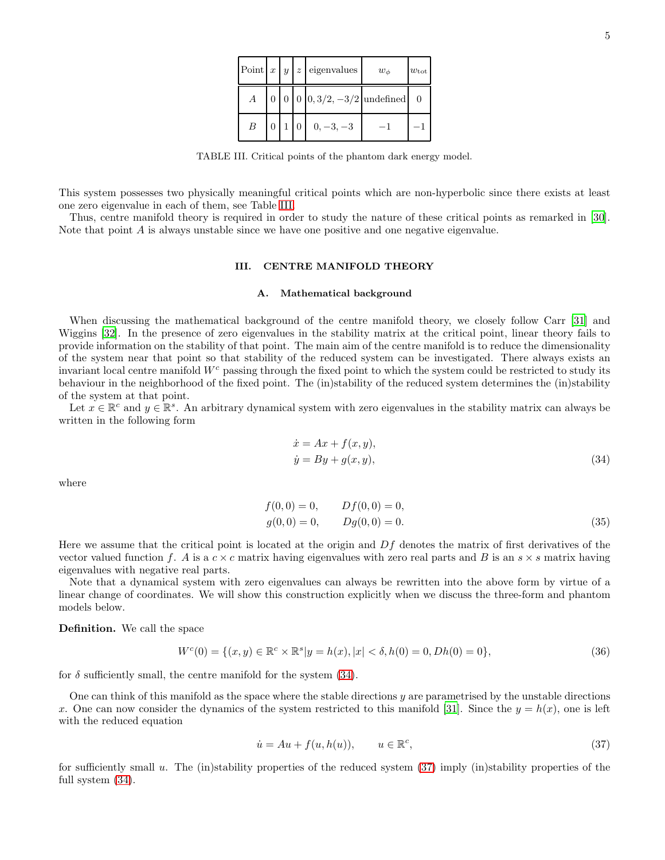|   |  | Point $x   y   z  $ eigenvalues    | $w_{\phi}$ | $w_{\rm tot}$ |
|---|--|------------------------------------|------------|---------------|
|   |  | 0 0 0 0 $0, 3/2, -3/2$ undefined 0 |            |               |
| B |  | $0 \mid 1 \mid 0 \mid 0, -3, -3$   | $-1$       |               |

<span id="page-4-0"></span>TABLE III. Critical points of the phantom dark energy model.

This system possesses two physically meaningful critical points which are non-hyperbolic since there exists at least one zero eigenvalue in each of them, see Table [III.](#page-4-0)

Thus, centre manifold theory is required in order to study the nature of these critical points as remarked in [\[30\]](#page-9-10). Note that point A is always unstable since we have one positive and one negative eigenvalue.

#### III. CENTRE MANIFOLD THEORY

## A. Mathematical background

When discussing the mathematical background of the centre manifold theory, we closely follow Carr [\[31\]](#page-9-11) and Wiggins [\[32\]](#page-9-12). In the presence of zero eigenvalues in the stability matrix at the critical point, linear theory fails to provide information on the stability of that point. The main aim of the centre manifold is to reduce the dimensionality of the system near that point so that stability of the reduced system can be investigated. There always exists an invariant local centre manifold  $W<sup>c</sup>$  passing through the fixed point to which the system could be restricted to study its behaviour in the neighborhood of the fixed point. The (in)stability of the reduced system determines the (in)stability of the system at that point.

Let  $x \in \mathbb{R}^c$  and  $y \in \mathbb{R}^s$ . An arbitrary dynamical system with zero eigenvalues in the stability matrix can always be written in the following form

<span id="page-4-1"></span>
$$
\begin{aligned}\n\dot{x} &= Ax + f(x, y), \\
\dot{y} &= By + g(x, y),\n\end{aligned} \tag{34}
$$

where

$$
f(0,0) = 0, \t Df(0,0) = 0,g(0,0) = 0, \t Dg(0,0) = 0.
$$
 (35)

Here we assume that the critical point is located at the origin and  $Df$  denotes the matrix of first derivatives of the vector valued function f. A is a  $c \times c$  matrix having eigenvalues with zero real parts and B is an  $s \times s$  matrix having eigenvalues with negative real parts.

Note that a dynamical system with zero eigenvalues can always be rewritten into the above form by virtue of a linear change of coordinates. We will show this construction explicitly when we discuss the three-form and phantom models below.

Definition. We call the space

$$
W^{c}(0) = \{(x, y) \in \mathbb{R}^{c} \times \mathbb{R}^{s} | y = h(x), |x| < \delta, h(0) = 0, Dh(0) = 0\},\tag{36}
$$

for  $\delta$  sufficiently small, the centre manifold for the system [\(34\)](#page-4-1).

One can think of this manifold as the space where the stable directions  $y$  are parametrised by the unstable directions x. One can now consider the dynamics of the system restricted to this manifold [\[31\]](#page-9-11). Since the  $y = h(x)$ , one is left with the reduced equation

<span id="page-4-2"></span>
$$
\dot{u} = Au + f(u, h(u)), \qquad u \in \mathbb{R}^c,
$$
\n(37)

for sufficiently small u. The (in)stability properties of the reduced system  $(37)$  imply (in)stability properties of the full system [\(34\)](#page-4-1).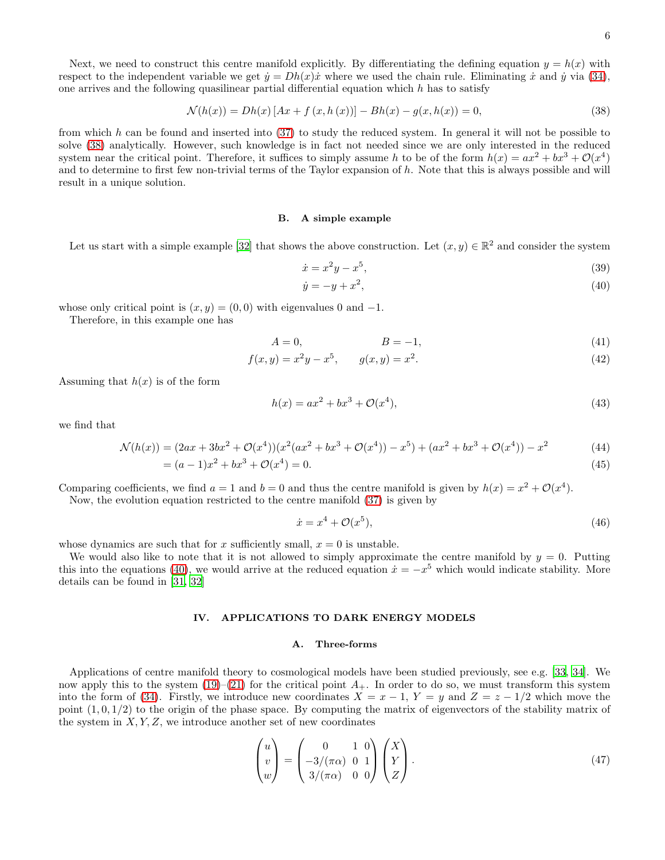Next, we need to construct this centre manifold explicitly. By differentiating the defining equation  $y = h(x)$  with respect to the independent variable we get  $\dot{y} = Dh(x)\dot{x}$  where we used the chain rule. Eliminating  $\dot{x}$  and  $\dot{y}$  via [\(34\)](#page-4-1), one arrives and the following quasilinear partial differential equation which  $h$  has to satisfy

$$
\mathcal{N}(h(x)) = Dh(x) [Ax + f(x, h(x))] - Bh(x) - g(x, h(x)) = 0,
$$
\n(38)

from which h can be found and inserted into  $(37)$  to study the reduced system. In general it will not be possible to solve [\(38\)](#page-5-0) analytically. However, such knowledge is in fact not needed since we are only interested in the reduced system near the critical point. Therefore, it suffices to simply assume h to be of the form  $h(x) = ax^2 + bx^3 + \mathcal{O}(x^4)$ and to determine to first few non-trivial terms of the Taylor expansion of h. Note that this is always possible and will result in a unique solution.

#### B. A simple example

Let us start with a simple example [\[32\]](#page-9-12) that shows the above construction. Let  $(x, y) \in \mathbb{R}^2$  and consider the system

<span id="page-5-1"></span><span id="page-5-0"></span>
$$
\dot{x} = x^2 y - x^5,\tag{39}
$$

$$
\dot{y} = -y + x^2,\tag{40}
$$

whose only critical point is  $(x, y) = (0, 0)$  with eigenvalues 0 and -1.

Therefore, in this example one has

$$
A = 0,\qquad \qquad B = -1,\tag{41}
$$

$$
f(x,y) = x^2y - x^5, \qquad g(x,y) = x^2.
$$
 (42)

Assuming that  $h(x)$  is of the form

$$
h(x) = ax^2 + bx^3 + \mathcal{O}(x^4),
$$
\n(43)

we find that

$$
\mathcal{N}(h(x)) = (2ax + 3bx^2 + \mathcal{O}(x^4))(x^2(ax^2 + bx^3 + \mathcal{O}(x^4)) - x^5) + (ax^2 + bx^3 + \mathcal{O}(x^4)) - x^2 \tag{44}
$$

$$
= (a-1)x^2 + bx^3 + \mathcal{O}(x^4) = 0.
$$
\n(45)

Comparing coefficients, we find  $a = 1$  and  $b = 0$  and thus the centre manifold is given by  $h(x) = x^2 + \mathcal{O}(x^4)$ . Now, the evolution equation restricted to the centre manifold [\(37\)](#page-4-2) is given by

$$
\dot{x} = x^4 + \mathcal{O}(x^5),\tag{46}
$$

whose dynamics are such that for x sufficiently small,  $x = 0$  is unstable.

We would also like to note that it is not allowed to simply approximate the centre manifold by  $y = 0$ . Putting this into the equations [\(40\)](#page-5-1), we would arrive at the reduced equation  $\dot{x} = -x^5$  which would indicate stability. More details can be found in [\[31,](#page-9-11) [32\]](#page-9-12)

### IV. APPLICATIONS TO DARK ENERGY MODELS

#### A. Three-forms

Applications of centre manifold theory to cosmological models have been studied previously, see e.g. [\[33](#page-9-13), [34](#page-9-14)]. We now apply this to the system  $(19)–(21)$  $(19)–(21)$  for the critical point  $A_+$ . In order to do so, we must transform this system into the form of [\(34\)](#page-4-1). Firstly, we introduce new coordinates  $X = x - 1$ ,  $Y = y$  and  $Z = z - 1/2$  which move the point  $(1, 0, 1/2)$  to the origin of the phase space. By computing the matrix of eigenvectors of the stability matrix of the system in  $X, Y, Z$ , we introduce another set of new coordinates

$$
\begin{pmatrix} u \\ v \\ w \end{pmatrix} = \begin{pmatrix} 0 & 1 & 0 \\ -3/(\pi \alpha) & 0 & 1 \\ 3/(\pi \alpha) & 0 & 0 \end{pmatrix} \begin{pmatrix} X \\ Y \\ Z \end{pmatrix}.
$$
 (47)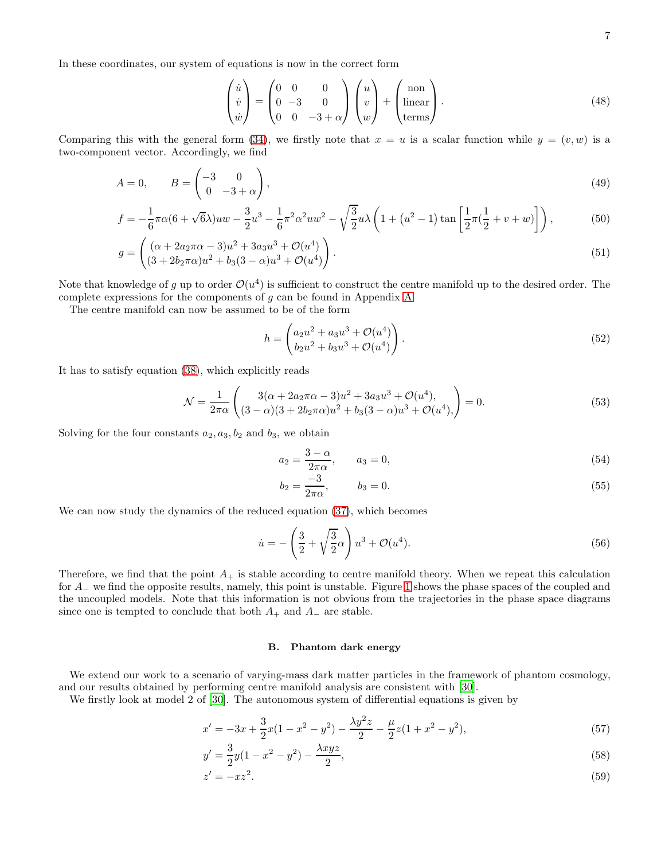In these coordinates, our system of equations is now in the correct form

$$
\begin{pmatrix} \dot{u} \\ \dot{v} \\ \dot{w} \end{pmatrix} = \begin{pmatrix} 0 & 0 & 0 \\ 0 & -3 & 0 \\ 0 & 0 & -3 + \alpha \end{pmatrix} \begin{pmatrix} u \\ v \\ w \end{pmatrix} + \begin{pmatrix} \text{non} \\ \text{linear} \\ \text{terms} \end{pmatrix} . \tag{48}
$$

Comparing this with the general form [\(34\)](#page-4-1), we firstly note that  $x = u$  is a scalar function while  $y = (v, w)$  is a two-component vector. Accordingly, we find

$$
A = 0, \qquad B = \begin{pmatrix} -3 & 0 \\ 0 & -3 + \alpha \end{pmatrix}, \tag{49}
$$

$$
f = -\frac{1}{6}\pi\alpha(6+\sqrt{6\lambda})uw - \frac{3}{2}u^3 - \frac{1}{6}\pi^2\alpha^2uw^2 - \sqrt{\frac{3}{2}}u\lambda\left(1+(u^2-1)\tan\left[\frac{1}{2}\pi(\frac{1}{2}+v+w)\right]\right),\tag{50}
$$

$$
g = \begin{pmatrix} (\alpha + 2a_2\pi\alpha - 3)u^2 + 3a_3u^3 + \mathcal{O}(u^4) \\ (3 + 2b_2\pi\alpha)u^2 + b_3(3 - \alpha)u^3 + \mathcal{O}(u^4) \end{pmatrix}.
$$
 (51)

Note that knowledge of g up to order  $\mathcal{O}(u^4)$  is sufficient to construct the centre manifold up to the desired order. The complete expressions for the components of g can be found in Appendix [A.](#page-9-15)

The centre manifold can now be assumed to be of the form

$$
h = \begin{pmatrix} a_2u^2 + a_3u^3 + \mathcal{O}(u^4) \\ b_2u^2 + b_3u^3 + \mathcal{O}(u^4) \end{pmatrix}.
$$
 (52)

It has to satisfy equation [\(38\)](#page-5-0), which explicitly reads

$$
\mathcal{N} = \frac{1}{2\pi\alpha} \begin{pmatrix} 3(\alpha + 2a_2\pi\alpha - 3)u^2 + 3a_3u^3 + \mathcal{O}(u^4), \\ (3 - \alpha)(3 + 2b_2\pi\alpha)u^2 + b_3(3 - \alpha)u^3 + \mathcal{O}(u^4), \end{pmatrix} = 0.
$$
 (53)

Solving for the four constants  $a_2, a_3, b_2$  and  $b_3$ , we obtain

$$
a_2 = \frac{3 - \alpha}{2\pi\alpha}, \qquad a_3 = 0,\tag{54}
$$

$$
b_2 = \frac{-3}{2\pi\alpha}, \qquad b_3 = 0. \tag{55}
$$

We can now study the dynamics of the reduced equation [\(37\)](#page-4-2), which becomes

$$
\dot{u} = -\left(\frac{3}{2} + \sqrt{\frac{3}{2}}\alpha\right)u^3 + \mathcal{O}(u^4). \tag{56}
$$

Therefore, we find that the point  $A_+$  is stable according to centre manifold theory. When we repeat this calculation for A<sup>−</sup> we find the opposite results, namely, this point is unstable. Figure [1](#page-7-0) shows the phase spaces of the coupled and the uncoupled models. Note that this information is not obvious from the trajectories in the phase space diagrams since one is tempted to conclude that both  $A_+$  and  $A_-$  are stable.

#### B. Phantom dark energy

We extend our work to a scenario of varying-mass dark matter particles in the framework of phantom cosmology, and our results obtained by performing centre manifold analysis are consistent with [\[30](#page-9-10)].

We firstly look at model 2 of [\[30\]](#page-9-10). The autonomous system of differential equations is given by

$$
x' = -3x + \frac{3}{2}x(1 - x^2 - y^2) - \frac{\lambda y^2 z}{2} - \frac{\mu}{2}z(1 + x^2 - y^2),\tag{57}
$$

$$
y' = \frac{3}{2}y(1 - x^2 - y^2) - \frac{\lambda xyz}{2},\tag{58}
$$

$$
z' = -xz^2.\tag{59}
$$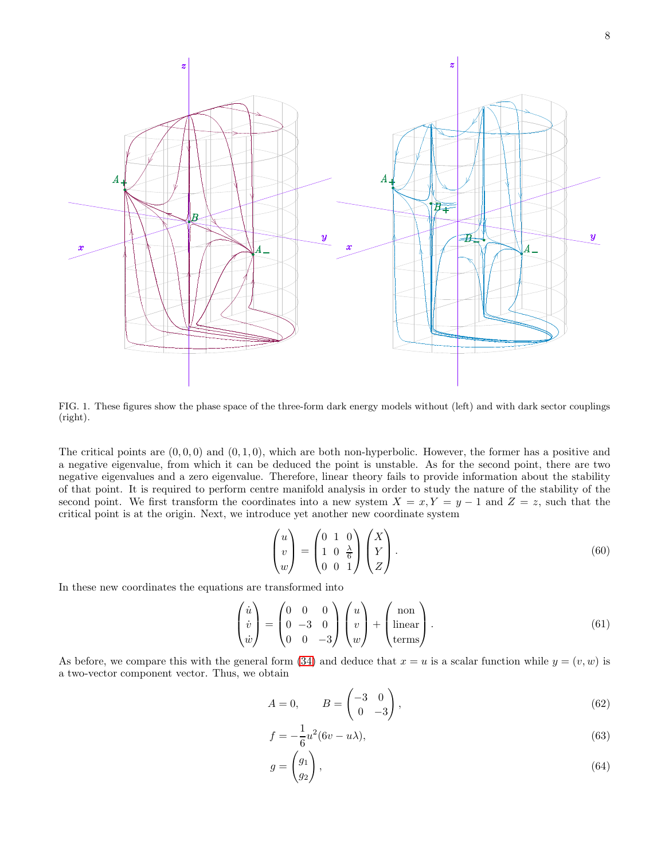

<span id="page-7-0"></span>FIG. 1. These figures show the phase space of the three-form dark energy models without (left) and with dark sector couplings (right).

The critical points are  $(0, 0, 0)$  and  $(0, 1, 0)$ , which are both non-hyperbolic. However, the former has a positive and a negative eigenvalue, from which it can be deduced the point is unstable. As for the second point, there are two negative eigenvalues and a zero eigenvalue. Therefore, linear theory fails to provide information about the stability of that point. It is required to perform centre manifold analysis in order to study the nature of the stability of the second point. We first transform the coordinates into a new system  $X = x, Y = y - 1$  and  $Z = z$ , such that the critical point is at the origin. Next, we introduce yet another new coordinate system

$$
\begin{pmatrix} u \\ v \\ w \end{pmatrix} = \begin{pmatrix} 0 & 1 & 0 \\ 1 & 0 & \frac{\lambda}{6} \\ 0 & 0 & 1 \end{pmatrix} \begin{pmatrix} X \\ Y \\ Z \end{pmatrix}.
$$
 (60)

In these new coordinates the equations are transformed into

$$
\begin{pmatrix} \dot{u} \\ \dot{v} \\ \dot{w} \end{pmatrix} = \begin{pmatrix} 0 & 0 & 0 \\ 0 & -3 & 0 \\ 0 & 0 & -3 \end{pmatrix} \begin{pmatrix} u \\ v \\ w \end{pmatrix} + \begin{pmatrix} \text{non} \\ \text{linear} \\ \text{terms} \end{pmatrix}.
$$
 (61)

As before, we compare this with the general form [\(34\)](#page-4-1) and deduce that  $x = u$  is a scalar function while  $y = (v, w)$  is a two-vector component vector. Thus, we obtain

$$
A = 0, \qquad B = \begin{pmatrix} -3 & 0 \\ 0 & -3 \end{pmatrix}, \tag{62}
$$

$$
f = -\frac{1}{6}u^2(6v - u\lambda),
$$
\n(63)

$$
g = \begin{pmatrix} g_1 \\ g_2 \end{pmatrix},\tag{64}
$$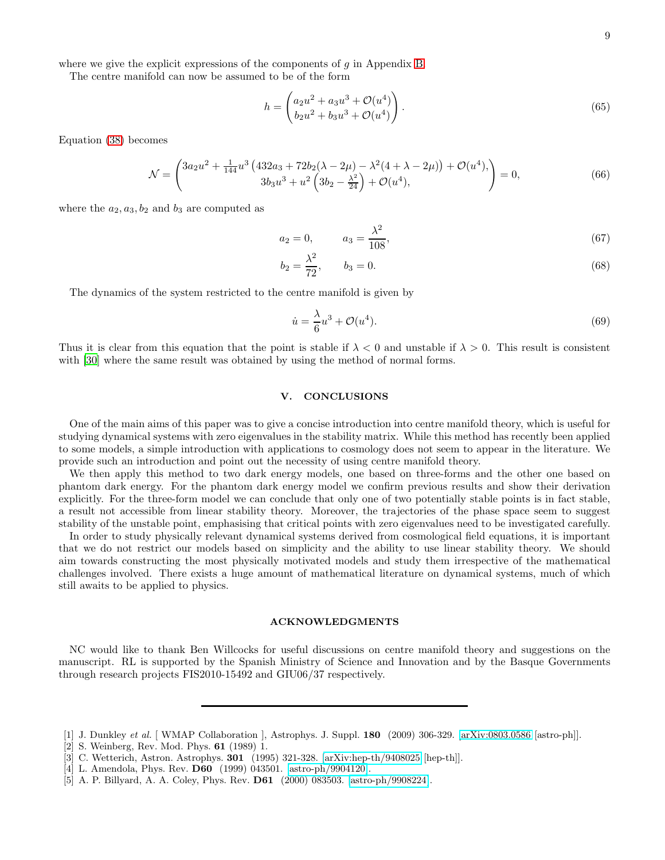where we give the explicit expressions of the components of  $g$  in Appendix [B.](#page-9-16)

The centre manifold can now be assumed to be of the form

$$
h = \begin{pmatrix} a_2u^2 + a_3u^3 + \mathcal{O}(u^4) \\ b_2u^2 + b_3u^3 + \mathcal{O}(u^4) \end{pmatrix}.
$$
 (65)

Equation [\(38\)](#page-5-0) becomes

$$
\mathcal{N} = \begin{pmatrix} 3a_2u^2 + \frac{1}{144}u^3(432a_3 + 72b_2(\lambda - 2\mu) - \lambda^2(4 + \lambda - 2\mu)) + \mathcal{O}(u^4), \\ 3b_3u^3 + u^2(3b_2 - \frac{\lambda^2}{24}) + \mathcal{O}(u^4), \end{pmatrix} = 0,
$$
\n(66)

where the  $a_2, a_3, b_2$  and  $b_3$  are computed as

$$
a_2 = 0, \qquad a_3 = \frac{\lambda^2}{108}, \tag{67}
$$

$$
b_2 = \frac{\lambda^2}{72}, \qquad b_3 = 0. \tag{68}
$$

The dynamics of the system restricted to the centre manifold is given by

$$
\dot{u} = \frac{\lambda}{6}u^3 + \mathcal{O}(u^4). \tag{69}
$$

Thus it is clear from this equation that the point is stable if  $\lambda < 0$  and unstable if  $\lambda > 0$ . This result is consistent with [\[30\]](#page-9-10) where the same result was obtained by using the method of normal forms.

## V. CONCLUSIONS

One of the main aims of this paper was to give a concise introduction into centre manifold theory, which is useful for studying dynamical systems with zero eigenvalues in the stability matrix. While this method has recently been applied to some models, a simple introduction with applications to cosmology does not seem to appear in the literature. We provide such an introduction and point out the necessity of using centre manifold theory.

We then apply this method to two dark energy models, one based on three-forms and the other one based on phantom dark energy. For the phantom dark energy model we confirm previous results and show their derivation explicitly. For the three-form model we can conclude that only one of two potentially stable points is in fact stable, a result not accessible from linear stability theory. Moreover, the trajectories of the phase space seem to suggest stability of the unstable point, emphasising that critical points with zero eigenvalues need to be investigated carefully.

In order to study physically relevant dynamical systems derived from cosmological field equations, it is important that we do not restrict our models based on simplicity and the ability to use linear stability theory. We should aim towards constructing the most physically motivated models and study them irrespective of the mathematical challenges involved. There exists a huge amount of mathematical literature on dynamical systems, much of which still awaits to be applied to physics.

## ACKNOWLEDGMENTS

NC would like to thank Ben Willcocks for useful discussions on centre manifold theory and suggestions on the manuscript. RL is supported by the Spanish Ministry of Science and Innovation and by the Basque Governments through research projects FIS2010-15492 and GIU06/37 respectively.

<span id="page-8-0"></span><sup>[1]</sup> J. Dunkley et al. [ WMAP Collaboration ], Astrophys. J. Suppl. 180 (2009) 306-329. [\[arXiv:0803.0586](http://arxiv.org/abs/0803.0586) [astro-ph]].

<span id="page-8-1"></span><sup>[2]</sup> S. Weinberg, Rev. Mod. Phys. 61 (1989) 1.

<span id="page-8-2"></span><sup>[3]</sup> C. Wetterich, Astron. Astrophys. 301 (1995) 321-328. [\[arXiv:hep-th/9408025](http://arxiv.org/abs/hep-th/9408025) [hep-th]].

<sup>[4]</sup> L. Amendola, Phys. Rev. D60 (1999) 043501. [\[astro-ph/9904120\]](http://arxiv.org/abs/astro-ph/9904120).

<sup>[5]</sup> A. P. Billyard, A. A. Coley, Phys. Rev. D61 (2000) 083503. [\[astro-ph/9908224\]](http://arxiv.org/abs/astro-ph/9908224).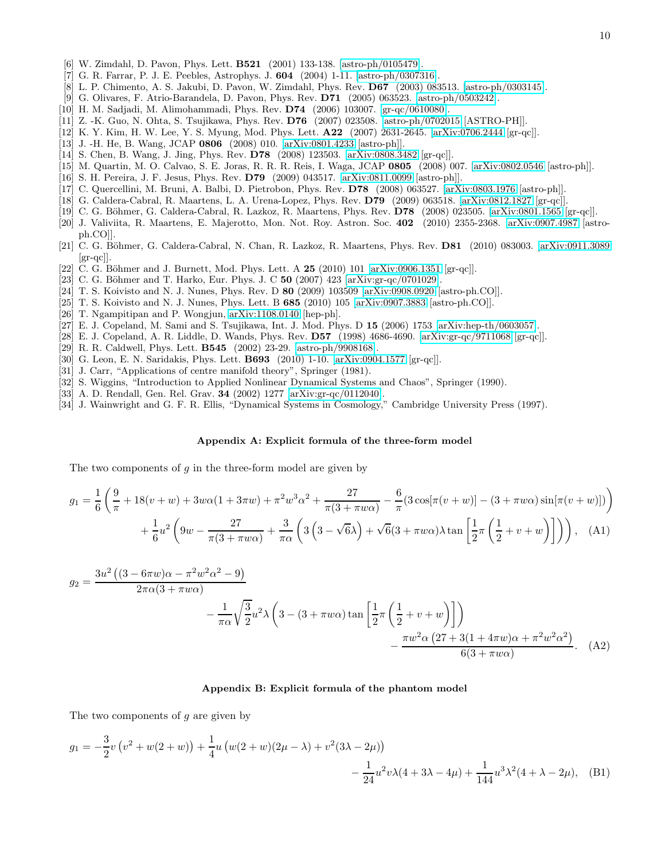- [6] W. Zimdahl, D. Pavon, Phys. Lett. B521 (2001) 133-138. [\[astro-ph/0105479\]](http://arxiv.org/abs/astro-ph/0105479).
- [7] G. R. Farrar, P. J. E. Peebles, Astrophys. J. 604 (2004) 1-11. [\[astro-ph/0307316\]](http://arxiv.org/abs/astro-ph/0307316).
- [8] L. P. Chimento, A. S. Jakubi, D. Pavon, W. Zimdahl, Phys. Rev. D67 (2003) 083513. [\[astro-ph/0303145\]](http://arxiv.org/abs/astro-ph/0303145).
- [9] G. Olivares, F. Atrio-Barandela, D. Pavon, Phys. Rev. D71 (2005) 063523. [\[astro-ph/0503242\]](http://arxiv.org/abs/astro-ph/0503242).
- [10] H. M. Sadjadi, M. Alimohammadi, Phys. Rev. D74 (2006) 103007. [\[gr-qc/0610080\]](http://arxiv.org/abs/gr-qc/0610080).
- [11] Z. -K. Guo, N. Ohta, S. Tsujikawa, Phys. Rev. D76 (2007) 023508. [\[astro-ph/0702015](http://arxiv.org/abs/astro-ph/0702015) [ASTRO-PH]].
- [12] K. Y. Kim, H. W. Lee, Y. S. Myung, Mod. Phys. Lett. A22 (2007) 2631-2645. [\[arXiv:0706.2444](http://arxiv.org/abs/0706.2444) [gr-qc]].
- [13] J. -H. He, B. Wang, JCAP 0806 (2008) 010. [\[arXiv:0801.4233](http://arxiv.org/abs/0801.4233) [astro-ph]].
- [14] S. Chen, B. Wang, J. Jing, Phys. Rev. D78 (2008) 123503. [\[arXiv:0808.3482](http://arxiv.org/abs/0808.3482) [gr-qc]].
- [15] M. Quartin, M. O. Calvao, S. E. Joras, R. R. R. Reis, I. Waga, JCAP 0805 (2008) 007. [\[arXiv:0802.0546](http://arxiv.org/abs/0802.0546) [astro-ph]].
- [16] S. H. Pereira, J. F. Jesus, Phys. Rev. D79 (2009) 043517. [\[arXiv:0811.0099](http://arxiv.org/abs/0811.0099) [astro-ph]].
- [17] C. Quercellini, M. Bruni, A. Balbi, D. Pietrobon, Phys. Rev. D78 (2008) 063527. [\[arXiv:0803.1976](http://arxiv.org/abs/0803.1976) [astro-ph]].
- [18] G. Caldera-Cabral, R. Maartens, L. A. Urena-Lopez, Phys. Rev. D79 (2009) 063518. [\[arXiv:0812.1827](http://arxiv.org/abs/0812.1827) [gr-qc]].
- [19] C. G. Böhmer, G. Caldera-Cabral, R. Lazkoz, R. Maartens, Phys. Rev.  $D78$  (2008) 023505. [\[arXiv:0801.1565](http://arxiv.org/abs/0801.1565) [gr-qc]].
- <span id="page-9-0"></span>[20] J. Valiviita, R. Maartens, E. Majerotto, Mon. Not. Roy. Astron. Soc. 402 (2010) 2355-2368. [\[arXiv:0907.4987](http://arxiv.org/abs/0907.4987) [astroph.CO]].
- <span id="page-9-1"></span>[21] C. G. Böhmer, G. Caldera-Cabral, N. Chan, R. Lazkoz, R. Maartens, Phys. Rev. **D81** (2010) 083003. [\[arXiv:0911.3089](http://arxiv.org/abs/0911.3089)  $\left[\text{gr-qc}\right]$ .
- <span id="page-9-2"></span>[22] C. G. Böhmer and J. Burnett, Mod. Phys. Lett. A  $25$  (2010) 101 [\[arXiv:0906.1351](http://arxiv.org/abs/0906.1351) [gr-qc]].
- <span id="page-9-3"></span>[23] C. G. Böhmer and T. Harko, Eur. Phys. J. C 50 (2007) 423 [\[arXiv:gr-qc/0701029\]](http://arxiv.org/abs/gr-qc/0701029).
- <span id="page-9-4"></span>[24] T. S. Koivisto and N. J. Nunes, Phys. Rev. D 80 (2009) 103509 [\[arXiv:0908.0920](http://arxiv.org/abs/0908.0920) [astro-ph.CO]].
- <span id="page-9-5"></span>[25] T. S. Koivisto and N. J. Nunes, Phys. Lett. B 685 (2010) 105 [\[arXiv:0907.3883](http://arxiv.org/abs/0907.3883) [astro-ph.CO]].
- <span id="page-9-6"></span>[26] T. Ngampitipan and P. Wongjun, [arXiv:1108.0140](http://arxiv.org/abs/1108.0140) [hep-ph].
- <span id="page-9-7"></span>[27] E. J. Copeland, M. Sami and S. Tsujikawa, Int. J. Mod. Phys. D 15 (2006) 1753 [\[arXiv:hep-th/0603057\]](http://arxiv.org/abs/hep-th/0603057).
- <span id="page-9-8"></span>[28] E. J. Copeland, A. R. Liddle, D. Wands, Phys. Rev. D57 (1998) 4686-4690. [\[arXiv:gr-qc/9711068](http://arxiv.org/abs/gr-qc/9711068) [gr-qc]].
- <span id="page-9-9"></span>[29] R. R. Caldwell, Phys. Lett. B545 (2002) 23-29. [\[astro-ph/9908168\]](http://arxiv.org/abs/astro-ph/9908168).
- <span id="page-9-10"></span>[30] G. Leon, E. N. Saridakis, Phys. Lett. B693 (2010) 1-10. [\[arXiv:0904.1577](http://arxiv.org/abs/0904.1577) [gr-qc]].
- <span id="page-9-11"></span>[31] J. Carr, "Applications of centre manifold theory", Springer (1981).
- <span id="page-9-12"></span>[32] S. Wiggins, "Introduction to Applied Nonlinear Dynamical Systems and Chaos", Springer (1990).
- <span id="page-9-13"></span>[33] A. D. Rendall, Gen. Rel. Grav. 34 (2002) 1277 [\[arXiv:gr-qc/0112040\]](http://arxiv.org/abs/gr-qc/0112040).
- <span id="page-9-14"></span>[34] J. Wainwright and G. F. R. Ellis, "Dynamical Systems in Cosmology," Cambridge University Press (1997).

#### <span id="page-9-15"></span>Appendix A: Explicit formula of the three-form model

The two components of  $g$  in the three-form model are given by

$$
g_1 = \frac{1}{6} \left( \frac{9}{\pi} + 18(v+w) + 3w\alpha(1+3\pi w) + \pi^2 w^3 \alpha^2 + \frac{27}{\pi(3+\pi w\alpha)} - \frac{6}{\pi} (3\cos[\pi(v+w)] - (3+\pi w\alpha)\sin[\pi(v+w)]) \right) + \frac{1}{6} u^2 \left( 9w - \frac{27}{\pi(3+\pi w\alpha)} + \frac{3}{\pi\alpha} \left( 3\left(3-\sqrt{6}\lambda\right) + \sqrt{6}(3+\pi w\alpha)\lambda \tan\left[\frac{1}{2}\pi\left(\frac{1}{2}+v+w\right)\right] \right) \right), \quad (A1)
$$

$$
g_2 = \frac{3u^2((3 - 6\pi w)\alpha - \pi^2 w^2 \alpha^2 - 9)}{2\pi\alpha(3 + \pi w\alpha)} - \frac{1}{\pi\alpha} \sqrt{\frac{3}{2}} u^2 \lambda \left(3 - (3 + \pi w\alpha) \tan\left[\frac{1}{2}\pi \left(\frac{1}{2} + v + w\right)\right]\right) - \frac{\pi w^2 \alpha (27 + 3(1 + 4\pi w)\alpha + \pi^2 w^2 \alpha^2)}{6(3 + \pi w\alpha)}.
$$
 (A2)

#### <span id="page-9-16"></span>Appendix B: Explicit formula of the phantom model

The two components of  $g$  are given by

$$
g_1 = -\frac{3}{2}v(v^2 + w(2+w)) + \frac{1}{4}u(w(2+w)(2\mu - \lambda) + v^2(3\lambda - 2\mu)) - \frac{1}{24}u^2v\lambda(4+3\lambda - 4\mu) + \frac{1}{144}u^3\lambda^2(4+\lambda - 2\mu), \quad (B1)
$$